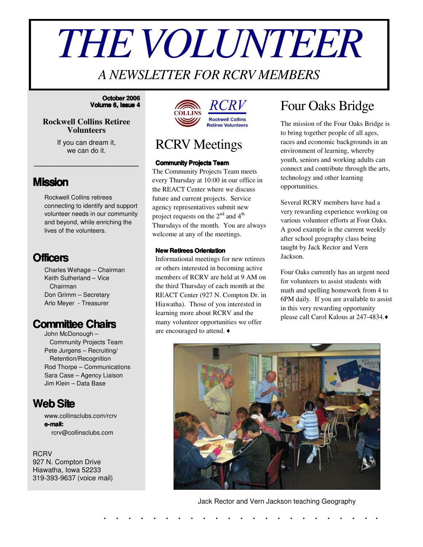# *THEVOLUNTEER*

### *A NEWSLETTER FOR RCRV MEMBERS*

#### **October 2006 Volume 6, Issue 4**

#### **Rockwell Collins Retiree Volunteers**

If you can dream it, we can do it.

\_\_\_\_\_\_\_\_\_\_\_\_\_\_\_\_\_

### **Mission**

Rockwell Collins retirees connecting to identify and support volunteer needs in our community and beyond, while enriching the lives of the volunteers.

### **Officers**

Charles Wehage – Chairman Keith Sutherland – Vice Chairman Don Grimm – Secretary Arlo Meyer - Treasurer

### **Committee Chairs**

John McDonough – Community Projects Team Pete Jurgens – Recruiting/ Retention/Recognition Rod Thorpe – Communications Sara Case – Agency Liaison Jim Klein – Data Base

### **WebSite**

www.collinsclubs.com/rcrv **e-mail:** rcrv@collinsclubs.com

**RCRV** 927 N. Compton Drive Hiawatha, Iowa 52233 319-393-9637 (voice mail)



### RCRV Meetings

#### **Community Projects Team**

The Community Projects Team meets every Thursday at 10:00 in our office in the REACT Center where we discuss future and current projects. Service agency representatives submit new project requests on the  $2<sup>nd</sup>$  and  $4<sup>th</sup>$ Thursdays of the month. You are always welcome at any of the meetings.

#### **New Retirees Orientation**

Informational meetings for new retirees or others interested in becoming active members of RCRV are held at 9 AM on the third Thursday of each month at the REACT Center (927 N. Compton Dr. in Hiawatha). Those of you interested in learning more about RCRV and the many volunteer opportunities we offer are encouraged to attend.

### Four Oaks Bridge

The mission of the Four Oaks Bridge is to bring together people of all ages, races and economic backgrounds in an environment of learning, whereby youth, seniors and working adults can connect and contribute through the arts, technology and other learning opportunities.

Several RCRV members have had a very rewarding experience working on various volunteer efforts at Four Oaks. A good example is the current weekly after school geography class being taught by Jack Rector and Vern Jackson.

Four Oaks currently has an urgent need for volunteers to assist students with math and spelling homework from 4 to 6PM daily. If you are available to assist in this very rewarding opportunity please call Carol Kalous at 247-4834.



#### Jack Rector and Vern Jackson teaching Geography

. . . . . . . . . . . . . . . . . . . . . . .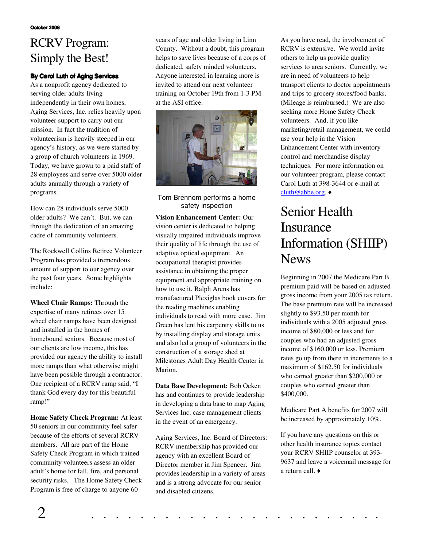### RCRV Program: Simply the Best!

#### **By Carol Luth of Aging Services**

As a nonprofit agency dedicated to serving older adults living independently in their own homes, Aging Services, Inc. relies heavily upon volunteer support to carry out our mission. In fact the tradition of volunteerism is heavily steeped in our agency's history, as we were started by a group of church volunteers in 1969. Today, we have grown to a paid staff of 28 employees and serve over 5000 older adults annually through a variety of programs.

How can 28 individuals serve 5000 older adults? We can't. But, we can through the dedication of an amazing cadre of community volunteers.

The Rockwell Collins Retiree Volunteer Program has provided a tremendous amount of support to our agency over the past four years. Some highlights include:

**Wheel Chair Ramps:** Through the expertise of many retirees over 15 wheel chair ramps have been designed and installed in the homes of homebound seniors. Because most of our clients are low income, this has provided our agency the ability to install more ramps than what otherwise might have been possible through a contractor. One recipient of a RCRV ramp said, "I thank God every day for this beautiful ramp!"

**Home Safety Check Program:** At least 50 seniors in our community feel safer because of the efforts of several RCRV members. All are part of the Home Safety Check Program in which trained community volunteers assess an older adult's home for fall, fire, and personal security risks. The Home Safety Check Program is free of charge to anyone 60

years of age and older living in Linn County. Without a doubt, this program helps to save lives because of a corps of dedicated, safety minded volunteers. Anyone interested in learning more is invited to attend our next volunteer training on October 19th from 1-3 PM at the ASI office.



Tom Brennom performs a home safety inspection

**Vision Enhancement Center:** Our vision center is dedicated to helping visually impaired individuals improve their quality of life through the use of adaptive optical equipment. An occupational therapist provides assistance in obtaining the proper equipment and appropriate training on how to use it. Ralph Arens has manufactured Plexiglas book covers for the reading machines enabling individuals to read with more ease. Jim Green has lent his carpentry skills to us by installing display and storage units and also led a group of volunteers in the construction of a storage shed at Milestones Adult Day Health Center in Marion.

**Data Base Development:** Bob Ocken has and continues to provide leadership in developing a data base to map Aging Services Inc. case management clients in the event of an emergency.

Aging Services, Inc. Board of Directors: RCRV membership has provided our agency with an excellent Board of Director member in Jim Spencer. Jim provides leadership in a variety of areas and is a strong advocate for our senior and disabled citizens.

As you have read, the involvement of RCRV is extensive. We would invite others to help us provide quality services to area seniors. Currently, we are in need of volunteers to help transport clients to doctor appointments and trips to grocery stores/food banks. (Mileage is reimbursed.) We are also seeking more Home Safety Check volunteers. And, if you like marketing/retail management, we could use your help in the Vision Enhancement Center with inventory control and merchandise display techniques. For more information on our volunteer program, please contact Carol Luth at 398-3644 or e-mail at cluth@abbe.org. ♦

### Senior Health Insurance Information (SHIIP) News

Beginning in 2007 the Medicare Part B premium paid will be based on adjusted gross income from your 2005 tax return. The base premium rate will be increased slightly to \$93.50 per month for individuals with a 2005 adjusted gross income of \$80,000 or less and for couples who had an adjusted gross income of \$160,000 or less. Premium rates go up from there in increments to a maximum of \$162.50 for individuals who earned greater than \$200,000 or couples who earned greater than \$400,000.

Medicare Part A benefits for 2007 will be increased by approximately 10%.

If you have any questions on this or other health insurance topics contact your RCRV SHIIP counselor at 393- 9637 and leave a voicemail message for a return call.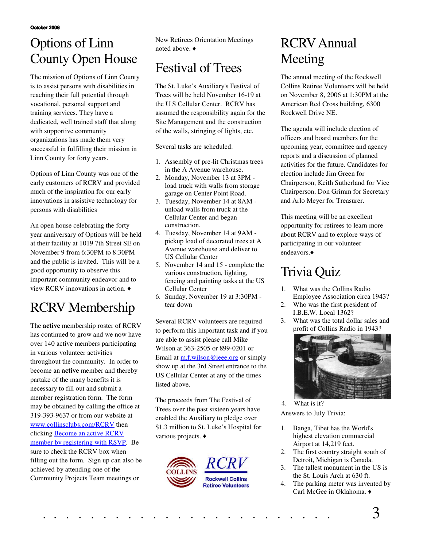**October 2006**

### Options of Linn County Open House

The mission of Options of Linn County is to assist persons with disabilities in reaching their full potential through vocational, personal support and training services. They have a dedicated, well trained staff that along with supportive community organizations has made them very successful in fulfilling their mission in Linn County for forty years.

Options of Linn County was one of the early customers of RCRV and provided much of the inspiration for our early innovations in assistive technology for persons with disabilities

An open house celebrating the forty year anniversary of Options will be held at their facility at 1019 7th Street SE on November 9 from 6:30PM to 8:30PM and the public is invited. This will be a good opportunity to observe this important community endeavor and to view RCRV innovations in action.

## RCRV Membership

The **active** membership roster of RCRV has continued to grow and we now have over 140 active members participating in various volunteer activities throughout the community. In order to become an **active** member and thereby partake of the many benefits it is necessary to fill out and submit a member registration form. The form may be obtained by calling the office at 319-393-9637 or from our website at www.collinsclubs.com/RCRV then clicking Become an active RCRV member by registering with RSVP. Be sure to check the RCRV box when filling out the form. Sign up can also be achieved by attending one of the Community Projects Team meetings or

New Retirees Orientation Meetings noted above.

# Festival of Trees

The St. Luke's Auxiliary's Festival of Trees will be held November 16-19 at the U S Cellular Center. RCRV has assumed the responsibility again for the Site Management and the construction of the walls, stringing of lights, etc.

Several tasks are scheduled:

- 1. Assembly of pre-lit Christmas trees in the A Avenue warehouse.
- 2. Monday, November 13 at 3PM load truck with walls from storage garage on Center Point Road.
- 3. Tuesday, November 14 at 8AM unload walls from truck at the Cellular Center and began construction.
- 4. Tuesday, November 14 at 9AM pickup load of decorated trees at A Avenue warehouse and deliver to US Cellular Center
- 5. November 14 and 15 complete the various construction, lighting, fencing and painting tasks at the US Cellular Center
- 6. Sunday, November 19 at 3:30PM tear down

Several RCRV volunteers are required to perform this important task and if you are able to assist please call Mike Wilson at 363-2505 or 899-0201 or Email at m.f.wilson@ieee.org or simply show up at the 3rd Street entrance to the US Cellular Center at any of the times listed above.

The proceeds from The Festival of Trees over the past sixteen years have enabled the Auxiliary to pledge over \$1.3 million to St. Luke's Hospital for various projects.  $\triangleleft$ 



## RCRVAnnual Meeting

The annual meeting of the Rockwell Collins Retiree Volunteers will be held on November 8, 2006 at 1:30PM at the American Red Cross building, 6300 Rockwell Drive NE.

The agenda will include election of officers and board members for the upcoming year, committee and agency reports and a discussion of planned activities for the future. Candidates for election include Jim Green for Chairperson, Keith Sutherland for Vice Chairperson, Don Grimm for Secretary and Arlo Meyer for Treasurer.

This meeting will be an excellent opportunity for retirees to learn more about RCRV and to explore ways of participating in our volunteer endeavors.

# Trivia Quiz

- 1. What was the Collins Radio Employee Association circa 1943?
- 2. Who was the first president of I.B.E.W. Local 1362?
- 3. What was the total dollar sales and profit of Collins Radio in 1943?



Answers to July Trivia: 4. What is it?

- 1. Banga, Tibet has the World's highest elevation commercial
- Airport at 14,219 feet. 2. The first country straight south of
- Detroit, Michigan is Canada. 3. The tallest monument in the US is
- the St. Louis Arch at 630 ft.
- 4. The parking meter was invented by Carl McGee in Oklahoma. ♦